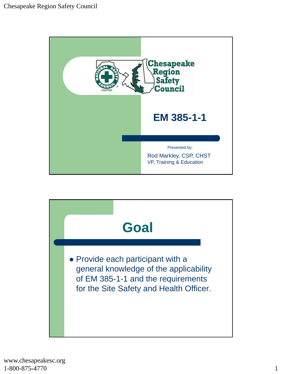

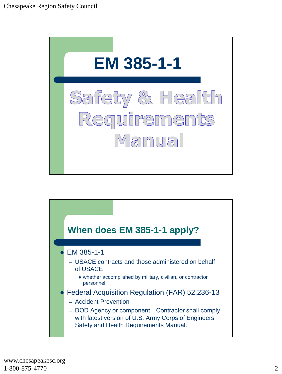

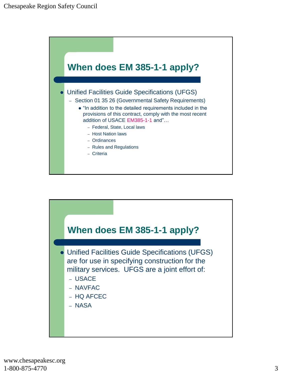

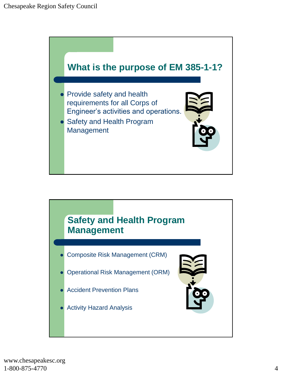

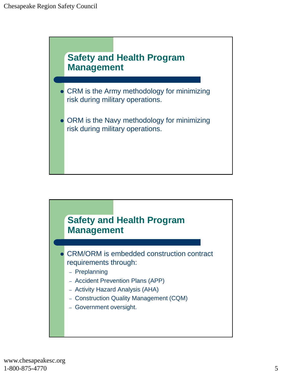

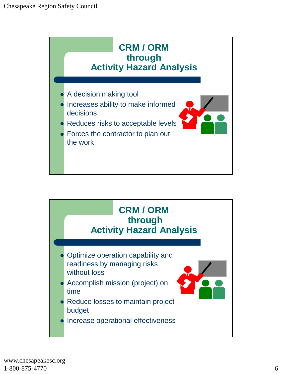

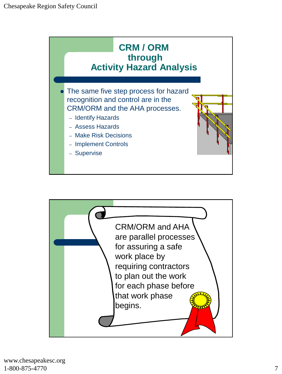

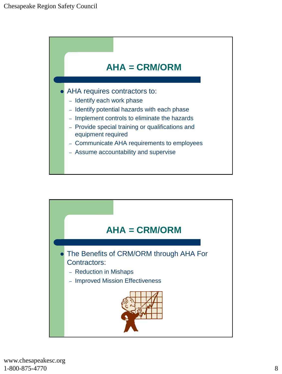

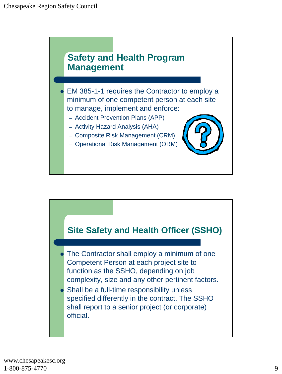

![](_page_8_Figure_2.jpeg)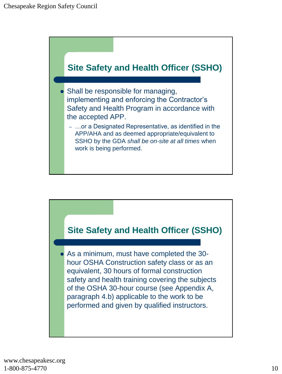![](_page_9_Figure_1.jpeg)

![](_page_9_Figure_2.jpeg)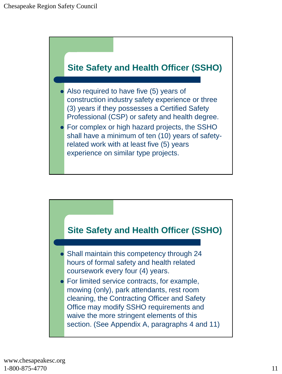![](_page_10_Figure_1.jpeg)

![](_page_10_Figure_2.jpeg)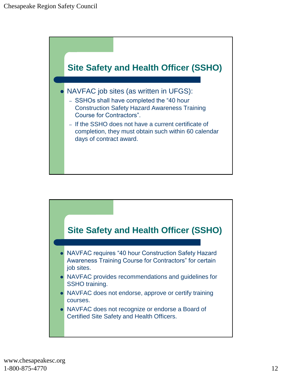![](_page_11_Figure_1.jpeg)

![](_page_11_Figure_2.jpeg)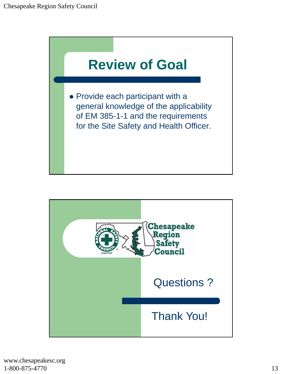![](_page_12_Picture_1.jpeg)

![](_page_12_Picture_2.jpeg)

www.chesapeakesc.org 1-800-875-4770 13